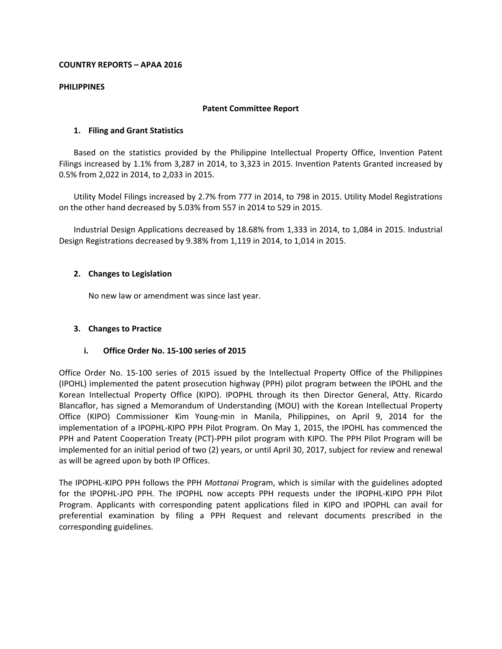## **COUNTRY REPORTS – APAA 2016**

#### **PHILIPPINES**

#### **Patent Committee Report**

## **1. Filing and Grant Statistics**

Based on the statistics provided by the Philippine Intellectual Property Office, Invention Patent Filings increased by 1.1% from 3,287 in 2014, to 3,323 in 2015. Invention Patents Granted increased by 0.5% from 2,022 in 2014, to 2,033 in 2015.

Utility Model Filings increased by 2.7% from 777 in 2014, to 798 in 2015. Utility Model Registrations on the other hand decreased by 5.03% from 557 in 2014 to 529 in 2015.

Industrial Design Applications decreased by 18.68% from 1,333 in 2014, to 1,084 in 2015. Industrial Design Registrations decreased by 9.38% from 1,119 in 2014, to 1,014 in 2015.

#### **2. Changes to Legislation**

No new law or amendment was since last year.

## **3. Changes to Practice**

#### **i. Office Order No. 15-100 series of 2015**

Office Order No. 15-100 series of 2015 issued by the Intellectual Property Office of the Philippines (IPOHL) implemented the patent prosecution highway (PPH) pilot program between the IPOHL and the Korean Intellectual Property Office (KIPO). IPOPHL through its then Director General, Atty. Ricardo Blancaflor, has signed a Memorandum of Understanding (MOU) with the Korean Intellectual Property Office (KIPO) Commissioner Kim Young-min in Manila, Philippines, on April 9, 2014 for the implementation of a IPOPHL-KIPO PPH Pilot Program. On May 1, 2015, the IPOHL has commenced the PPH and Patent Cooperation Treaty (PCT)-PPH pilot program with KIPO. The PPH Pilot Program will be implemented for an initial period of two (2) years, or until April 30, 2017, subject for review and renewal as will be agreed upon by both IP Offices.

The IPOPHL-KIPO PPH follows the PPH *Mottanai* Program, which is similar with the guidelines adopted for the IPOPHL-JPO PPH. The IPOPHL now accepts PPH requests under the IPOPHL-KIPO PPH Pilot Program. Applicants with corresponding patent applications filed in KIPO and IPOPHL can avail for preferential examination by filing a PPH Request and relevant documents prescribed in the corresponding guidelines.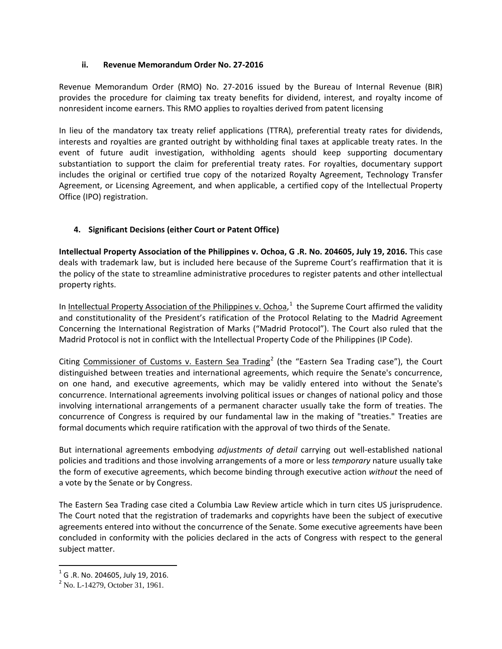# **ii. Revenue Memorandum Order No. 27-2016**

Revenue Memorandum Order (RMO) No. 27-2016 issued by the Bureau of Internal Revenue (BIR) provides the procedure for claiming tax treaty benefits for dividend, interest, and royalty income of nonresident income earners. This RMO applies to royalties derived from patent licensing

In lieu of the mandatory tax treaty relief applications (TTRA), preferential treaty rates for dividends, interests and royalties are granted outright by withholding final taxes at applicable treaty rates. In the event of future audit investigation, withholding agents should keep supporting documentary substantiation to support the claim for preferential treaty rates. For royalties, documentary support includes the original or certified true copy of the notarized Royalty Agreement, Technology Transfer Agreement, or Licensing Agreement, and when applicable, a certified copy of the Intellectual Property Office (IPO) registration.

# **4. Significant Decisions (either Court or Patent Office)**

**Intellectual Property Association of the Philippines v. Ochoa, G .R. No. 204605, July 19, 2016.** This case deals with trademark law, but is included here because of the Supreme Court's reaffirmation that it is the policy of the state to streamline administrative procedures to register patents and other intellectual property rights.

In Intellectual Property Association of the Philippines v. Ochoa,<sup>[1](#page-1-0)</sup> the Supreme Court affirmed the validity and constitutionality of the President's ratification of the Protocol Relating to the Madrid Agreement Concerning the International Registration of Marks ("Madrid Protocol"). The Court also ruled that the Madrid Protocol is not in conflict with the Intellectual Property Code of the Philippines (IP Code).

Citing Commissioner of Customs v. Eastern Sea Trading<sup>[2](#page-1-1)</sup> (the "Eastern Sea Trading case"), the Court distinguished between treaties and international agreements, which require the Senate's concurrence, on one hand, and executive agreements, which may be validly entered into without the Senate's concurrence. International agreements involving political issues or changes of national policy and those involving international arrangements of a permanent character usually take the form of treaties. The concurrence of Congress is required by our fundamental law in the making of "treaties." Treaties are formal documents which require ratification with the approval of two thirds of the Senate.

But international agreements embodying *adjustments of detail* carrying out well-established national policies and traditions and those involving arrangements of a more or less *temporary* nature usually take the form of executive agreements, which become binding through executive action *without* the need of a vote by the Senate or by Congress.

The Eastern Sea Trading case cited a Columbia Law Review article which in turn cites US jurisprudence. The Court noted that the registration of trademarks and copyrights have been the subject of executive agreements entered into without the concurrence of the Senate. Some executive agreements have been concluded in conformity with the policies declared in the acts of Congress with respect to the general subject matter.

<span id="page-1-0"></span><sup>&</sup>lt;sup>1</sup> G .R. No. 204605, July 19, 2016.<br><sup>2</sup> No. L-14279, October 31, 1961.

<span id="page-1-1"></span>